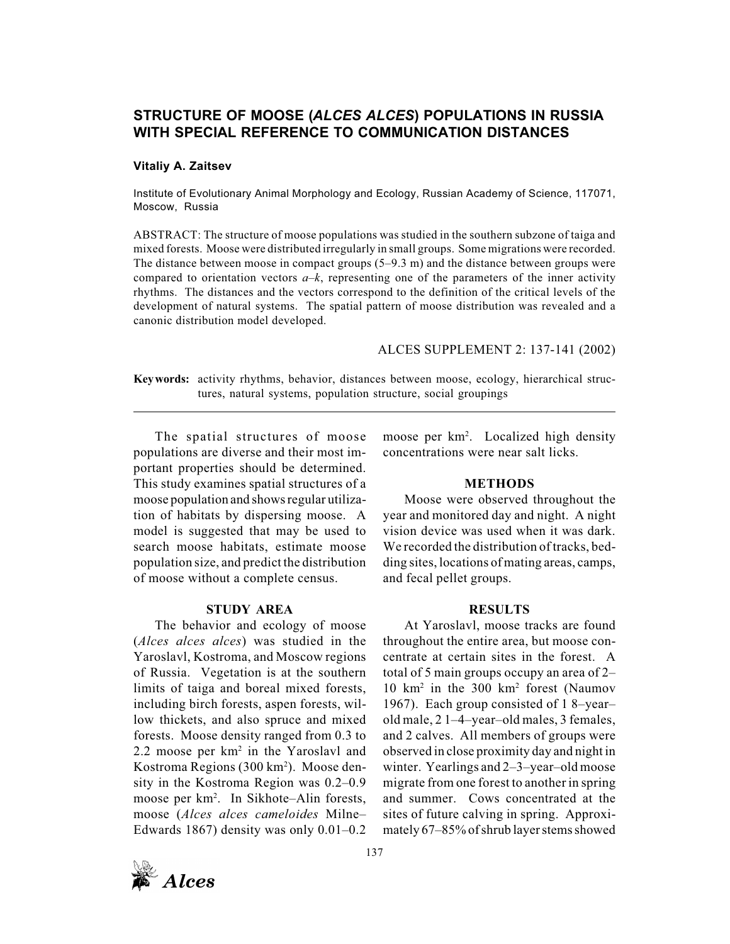# **STRUCTURE OF MOOSE (***ALCES ALCES***) POPULATIONS IN RUSSIA WITH SPECIAL REFERENCE TO COMMUNICATION DISTANCES**

#### **Vitaliy A. Zaitsev**

Institute of Evolutionary Animal Morphology and Ecology, Russian Academy of Science, 117071, Moscow, Russia

ABSTRACT: The structure of moose populations was studied in the southern subzone of taiga and mixed forests. Moose were distributed irregularly in small groups. Some migrations were recorded. The distance between moose in compact groups (5–9.3 m) and the distance between groups were compared to orientation vectors  $a-k$ , representing one of the parameters of the inner activity rhythms. The distances and the vectors correspond to the definition of the critical levels of the development of natural systems. The spatial pattern of moose distribution was revealed and a canonic distribution model developed.

### ALCES SUPPLEMENT 2: 137-141 (2002)

**Key words:** activity rhythms, behavior, distances between moose, ecology, hierarchical structures, natural systems, population structure, social groupings

The spatial structures of moose populations are diverse and their most important properties should be determined. This study examines spatial structures of a moose population and shows regular utilization of habitats by dispersing moose. A model is suggested that may be used to search moose habitats, estimate moose population size, and predict the distribution of moose without a complete census.

## **STUDY AREA**

The behavior and ecology of moose (*Alces alces alces*) was studied in the Yaroslavl, Kostroma, and Moscow regions of Russia. Vegetation is at the southern limits of taiga and boreal mixed forests, including birch forests, aspen forests, willow thickets, and also spruce and mixed forests. Moose density ranged from 0.3 to 2.2 moose per km<sup>2</sup> in the Yaroslavl and Kostroma Regions (300 km<sup>2</sup>). Moose density in the Kostroma Region was 0.2–0.9 moose per km<sup>2</sup>. In Sikhote–Alin forests, moose (*Alces alces cameloides* Milne– Edwards 1867) density was only 0.01–0.2

moose per km2 . Localized high density concentrations were near salt licks.

### **METHODS**

Moose were observed throughout the year and monitored day and night. A night vision device was used when it was dark. We recorded the distribution of tracks, bedding sites, locations of mating areas, camps, and fecal pellet groups.

#### **RESULTS**

At Yaroslavl, moose tracks are found throughout the entire area, but moose concentrate at certain sites in the forest. A total of 5 main groups occupy an area of 2– 10 km2 in the 300 km2 forest (Naumov 1967). Each group consisted of 1 8–year– old male, 2 1–4–year–old males, 3 females, and 2 calves. All members of groups were observed in close proximity day and night in winter. Yearlings and 2–3–year–old moose migrate from one forest to another in spring and summer. Cows concentrated at the sites of future calving in spring. Approximately 67–85% of shrub layer stems showed

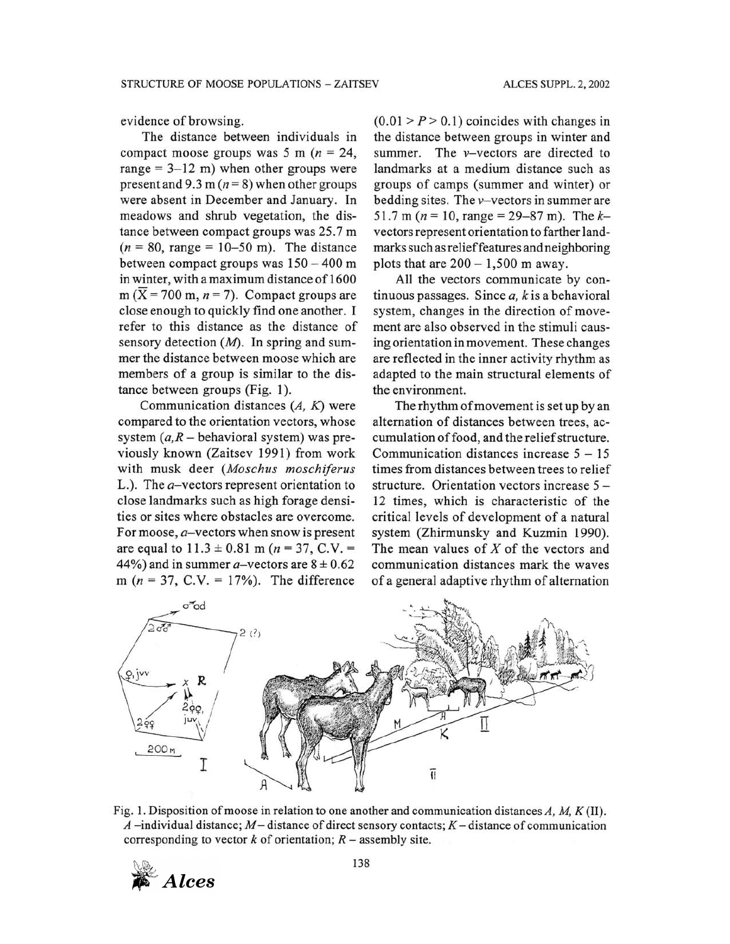evidence of browsing.

The distance between individuals in compact moose groups was 5 m ( $n = 24$ , range =  $3-12$  m) when other groups were present and 9.3 m ( $n = 8$ ) when other groups were absent in December and January. In meadows and shrub vegetation, the distance between compact groups was 25.7 m  $(n = 80, \text{ range} = 10-50 \text{ m})$ . The distance between compact groups was  $150 - 400$  m in winter, with a maximum distance of 1600 m ( $\overline{X}$  = 700 m, n = 7). Compact groups are close enough to quickly find one another. I refer to this distance as the distance of sensory detection  $(M)$ . In spring and summer the distance between moose which are members of a group is similar to the distance between groups (Fig. 1).

Communication distances  $(A, K)$  were compared to the orientation vectors, whose system  $(a, R -$  behavioral system) was previously known (Zaitsev 1991) from work with musk deer (Moschus moschiferus L.). The *a*-vectors represent orientation to close landmarks such as high forage densities or sites where obstacles are overcome. For moose,  $a$ -vectors when snow is present are equal to  $11.3 \pm 0.81$  m ( $n = 37$ , C.V. = 44%) and in summer *a*-vectors are  $8 \pm 0.62$ m ( $n = 37$ , C.V. = 17%). The difference

 $(0.01 > P > 0.1)$  coincides with changes in the distance between groups in winter and summer. The v-vectors are directed to landmarks at a medium distance such as groups of camps (summer and winter) or bedding sites. The v-vectors in summer are 51.7 m ( $n = 10$ , range = 29–87 m). The  $k$ vectors represent orientation to farther landmarks such as relief features and neighboring plots that are  $200 - 1,500$  m away.

All the vectors communicate by continuous passages. Since  $a$ ,  $k$  is a behavioral system, changes in the direction of movement are also observed in the stimuli causing orientation in movement. These changes are reflected in the inner activity rhythm as adapted to the main structural elements of the environment.

The rhythm of movement is set up by an alternation of distances between trees, accumulation of food, and the relief structure. Communication distances increase  $5 - 15$ times from distances between trees to relief structure. Orientation vectors increase 5 -12 times, which is characteristic of the critical levels of development of a natural system (Zhirmunsky and Kuzmin 1990). The mean values of  $X$  of the vectors and communication distances mark the waves of a general adaptive rhythm of alternation



Fig. 1. Disposition of moose in relation to one another and communication distances  $A$ ,  $M$ ,  $K$  (II). A -individual distance;  $M$ -distance of direct sensory contacts;  $K$ -distance of communication corresponding to vector  $k$  of orientation;  $R$  – assembly site.

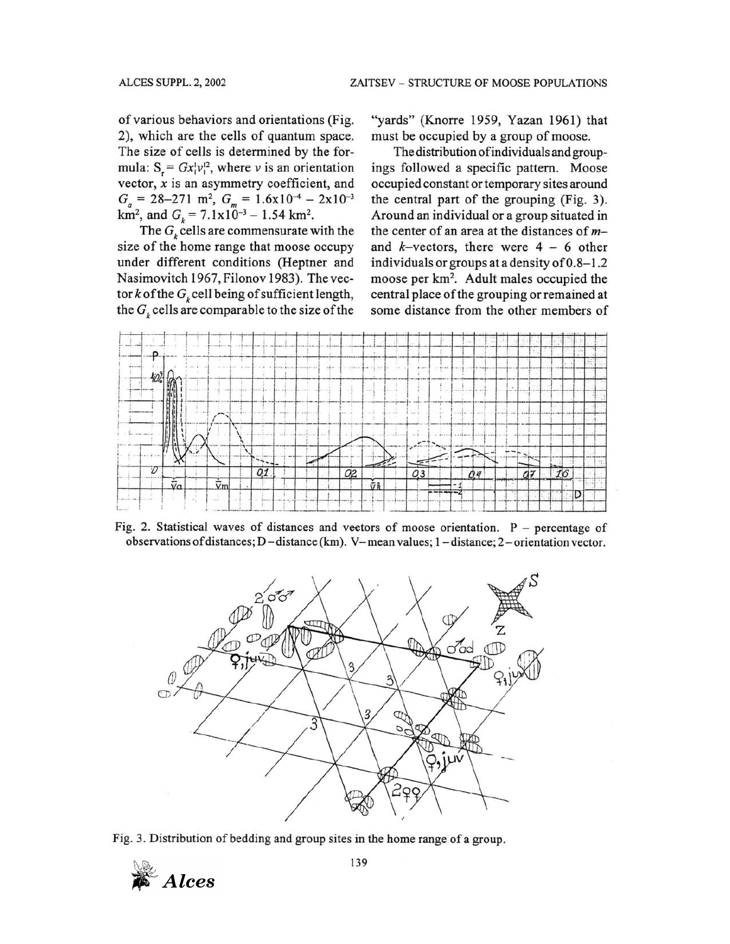of various behaviors and orientations (Fig. 2), which are the cells of quantum space. The size of cells is determined by the formula:  $S_r = Gx|v_1^2$ , where v is an orientation vector,  $x$  is an asymmetry coefficient, and  $G_a = 28-271$  m<sup>2</sup>,  $G_m = 1.6 \times 10^{-4} - 2 \times 10^{-3}$ <br>km<sup>2</sup>, and  $G_k = 7.1 \times 10^{-3} - 1.54$  km<sup>2</sup>.

The  $G<sub>k</sub>$  cells are commensurate with the size of the home range that moose occupy under different conditions (Heptner and Nasimovitch 1967, Filonov 1983). The vector  $k$  of the  $G_k$  cell being of sufficient length, the  $G_k$  cells are comparable to the size of the

"yards" (Knorre 1959, Yazan 1961) that must be occupied by a group of moose.

The distribution of individuals and groupings followed a specific pattern. Moose occupied constant or temporary sites around the central part of the grouping (Fig. 3). Around an individual or a group situated in the center of an area at the distances of  $m$ and  $k$ -vectors, there were  $4 - 6$  other individuals or groups at a density of 0.8-1.2 moose per km<sup>2</sup>. Adult males occupied the central place of the grouping or remained at some distance from the other members of



Fig. 2. Statistical waves of distances and veetors of moose orientation.  $P$  – percentage of observations of distances;  $D$  – distance (km). V–mean values; 1 – distance; 2 – orientation vector.



Fig. 3. Distribution of bedding and group sites in the home range of a group.

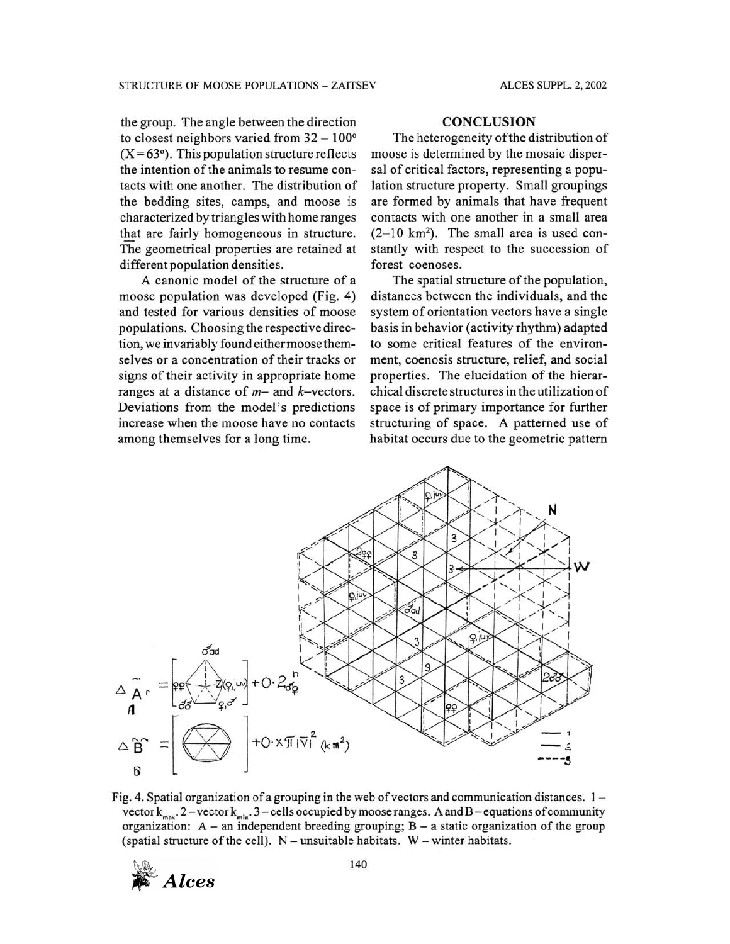the group. The angle between the direction to closest neighbors varied from  $32 - 100^{\circ}$  $(X=63)$ . This population structure reflects the intention of the animals to resume contacts with one another. The distribution of the bedding sites, camps, and moose is characterized by triangles with home ranges that are fairly homogeneous in structure. The geometrical properties are retained at different population densities.

A canonic model of the structure of a moose population was developed (Fig. 4) and tested for various densities of moose populations. Choosing the respective direction, we invariably found either moose themselves or a concentration of their tracks or signs of their activity in appropriate home ranges at a distance of  $m-$  and  $k$ -vectors. Deviations from the model's predictions increase when the moose have no contacts among themselves for a long time.

### **CONCLUSION**

The heterogeneity of the distribution of moose is determined by the mosaic dispersal of critical factors, representing a population structure property. Small groupings are formed by animals that have frequent contacts with one another in a small area  $(2-10 \text{ km}^2)$ . The small area is used constantly with respect to the succession of forest coenoses.

The spatial structure of the population, distances between the individuals, and the system of orientation vectors have a single basis in behavior (activity rhythm) adapted to some critical features of the environment, coenosis structure, relief, and social properties. The elucidation of the hierarchical discrete structures in the utilization of space is of primary importance for further structuring of space. A patterned use of habitat occurs due to the geometric pattern



Fig. 4. Spatial organization of a grouping in the web of vectors and communication distances. 1vector  $k_{max}$ , 2 – vector  $k_{min}$ , 3 – cells occupied by moose ranges. A and B – equations of community organization:  $A - an$  independent breeding grouping;  $B - a$  static organization of the group (spatial structure of the cell).  $N$  – unsuitable habitats.  $W$  – winter habitats.